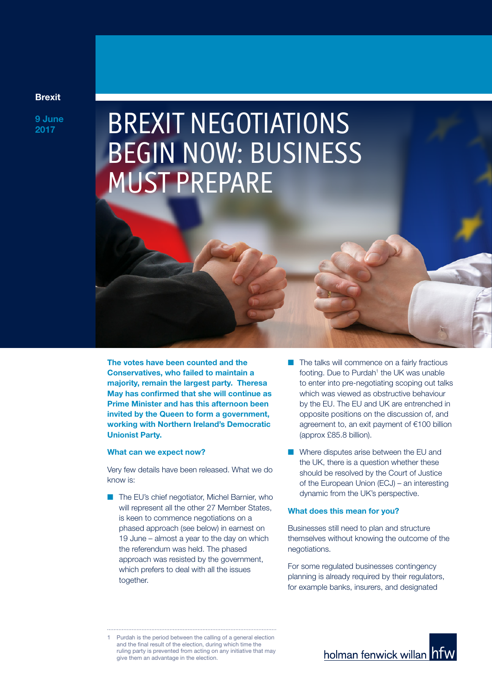# Brexit

9 June

# **BJune BREXIT NEGOTIATIONS** BEGIN NOW: BUSINESS MUST PREPARE

The votes have been counted and the Conservatives, who failed to maintain a majority, remain the largest party. Theresa May has confirmed that she will continue as Prime Minister and has this afternoon been invited by the Queen to form a government, working with Northern Ireland's Democratic Unionist Party.

#### What can we expect now?

Very few details have been released. What we do know is:

- The EU's chief negotiator, Michel Barnier, who will represent all the other 27 Member States, is keen to commence negotiations on a phased approach (see below) in earnest on 19 June – almost a year to the day on which the referendum was held. The phased approach was resisted by the government, which prefers to deal with all the issues together.
- $\blacksquare$  The talks will commence on a fairly fractious footing. Due to Purdah<sup>1</sup> the UK was unable to enter into pre-negotiating scoping out talks which was viewed as obstructive behaviour by the EU. The EU and UK are entrenched in opposite positions on the discussion of, and agreement to, an exit payment of €100 billion (approx £85.8 billion).
- $\blacksquare$  Where disputes arise between the EU and the UK, there is a question whether these should be resolved by the Court of Justice of the European Union (ECJ) – an interesting dynamic from the UK's perspective.

### What does this mean for you?

Businesses still need to plan and structure themselves without knowing the outcome of the negotiations.

For some regulated businesses contingency planning is already required by their regulators, for example banks, insurers, and designated



<sup>1</sup> Purdah is the period between the calling of a general election and the final result of the election, during which time the ruling party is prevented from acting on any initiative that may give them an advantage in the election.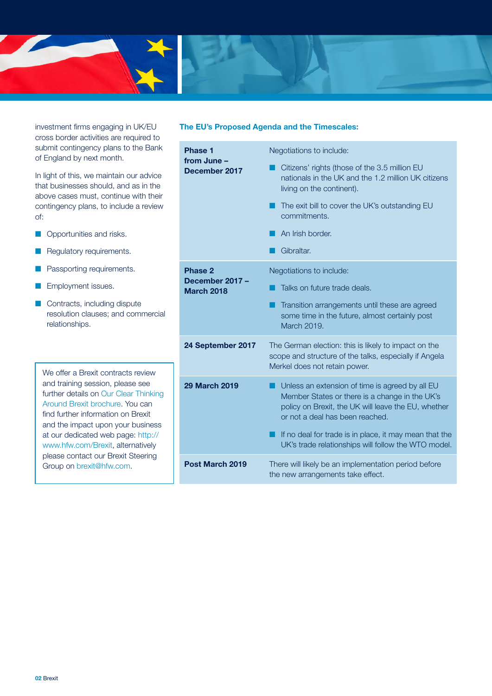

investment firms engaging in UK/EU cross border activities are required to submit contingency plans to the Bank of England by next month.

In light of this, we maintain our advice that businesses should, and as in the above cases must, continue with their contingency plans, to include a review of:

- **n** Opportunities and risks.
- **n** Regulatory requirements.
- **n** Passporting requirements.
- **n** Employment issues.
- **n** Contracts, including dispute resolution clauses; and commercial relationships.

We offer a Brexit contracts review and training session, please see further details on Our Clear Thinking Around Brexit brochure. You can find further information on Brexit and the impact upon your business at our dedicated web page: http:// www.hfw.com/Brexit, alternatively please contact our Brexit Steering Group on brexit@hfw.com.

# The EU's Proposed Agenda and the Timescales:

| <b>Phase 1</b><br>from June -<br>December 2017  | Negotiations to include:                                                                                                                                                                                                                                                                                     |
|-------------------------------------------------|--------------------------------------------------------------------------------------------------------------------------------------------------------------------------------------------------------------------------------------------------------------------------------------------------------------|
|                                                 | Citizens' rights (those of the 3.5 million EU<br>nationals in the UK and the 1.2 million UK citizens<br>living on the continent).                                                                                                                                                                            |
|                                                 | The exit bill to cover the UK's outstanding EU<br>commitments.                                                                                                                                                                                                                                               |
|                                                 | An Irish border.                                                                                                                                                                                                                                                                                             |
|                                                 | Gibraltar.                                                                                                                                                                                                                                                                                                   |
| Phase 2<br>December 2017 -<br><b>March 2018</b> | Negotiations to include:                                                                                                                                                                                                                                                                                     |
|                                                 | Talks on future trade deals.                                                                                                                                                                                                                                                                                 |
|                                                 | Transition arrangements until these are agreed<br>some time in the future, almost certainly post<br>March 2019.                                                                                                                                                                                              |
| 24 September 2017                               | The German election: this is likely to impact on the<br>scope and structure of the talks, especially if Angela<br>Merkel does not retain power.                                                                                                                                                              |
| <b>29 March 2019</b>                            | Unless an extension of time is agreed by all EU<br>Member States or there is a change in the UK's<br>policy on Brexit, the UK will leave the EU, whether<br>or not a deal has been reached.<br>If no deal for trade is in place, it may mean that the<br>UK's trade relationships will follow the WTO model. |
| Post March 2019                                 | There will likely be an implementation period before<br>the new arrangements take effect.                                                                                                                                                                                                                    |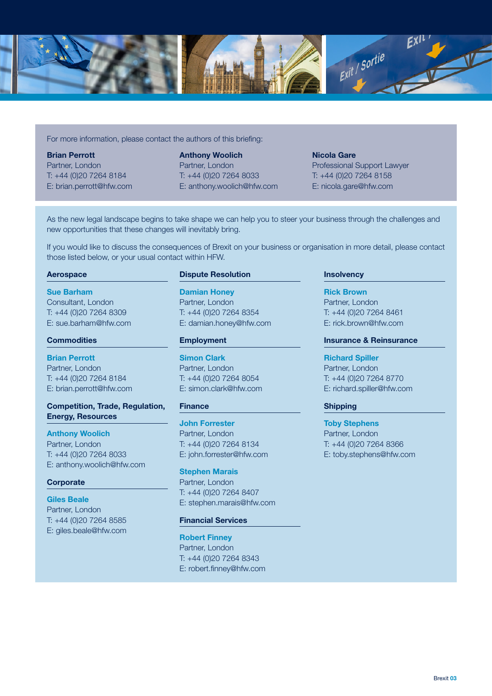

For more information, please contact the authors of this briefing:

Brian Perrott Partner, London T: +44 (0)20 7264 8184 E: brian.perrott@hfw.com Anthony Woolich Partner, London T: +44 (0)20 7264 8033 E: anthony.woolich@hfw.com

Nicola Gare Professional Support Lawyer T: +44 (0)20 7264 8158 E: nicola.gare@hfw.com

As the new legal landscape begins to take shape we can help you to steer your business through the challenges and new opportunities that these changes will inevitably bring.

If you would like to discuss the consequences of Brexit on your business or organisation in more detail, please contact those listed below, or your usual contact within HFW.

#### Aerospace

Sue Barham Consultant, London T: +44 (0)20 7264 8309 E: sue.barham@hfw.com

#### **Commodities**

Brian Perrott Partner, London T: +44 (0)20 7264 8184 E: brian.perrott@hfw.com

# Competition, Trade, Regulation, Energy, Resources

Anthony Woolich Partner, London T: +44 (0)20 7264 8033 E: anthony.woolich@hfw.com

# **Corporate**

Giles Beale Partner, London T: +44 (0)20 7264 8585 E: giles.beale@hfw.com

#### Dispute Resolution

Damian Honey Partner, London T: +44 (0)20 7264 8354 E: damian.honey@hfw.com

#### Employment

Simon Clark Partner, London T: +44 (0)20 7264 8054 E: simon.clark@hfw.com

# Finance

John Forrester Partner, London T: +44 (0)20 7264 8134 E: john.forrester@hfw.com

Stephen Marais Partner, London T: +44 (0)20 7264 8407 E: stephen.marais@hfw.com

# Financial Services

Robert Finney Partner, London T: +44 (0)20 7264 8343 E: robert.finney@hfw.com

# **Insolvency**

Rick Brown Partner, London T: +44 (0)20 7264 8461 E: rick.brown@hfw.com

### Insurance & Reinsurance

Richard Spiller Partner, London T: +44 (0)20 7264 8770 E: richard.spiller@hfw.com

#### Shipping

Toby Stephens Partner, London T: +44 (0)20 7264 8366 E: toby.stephens@hfw.com